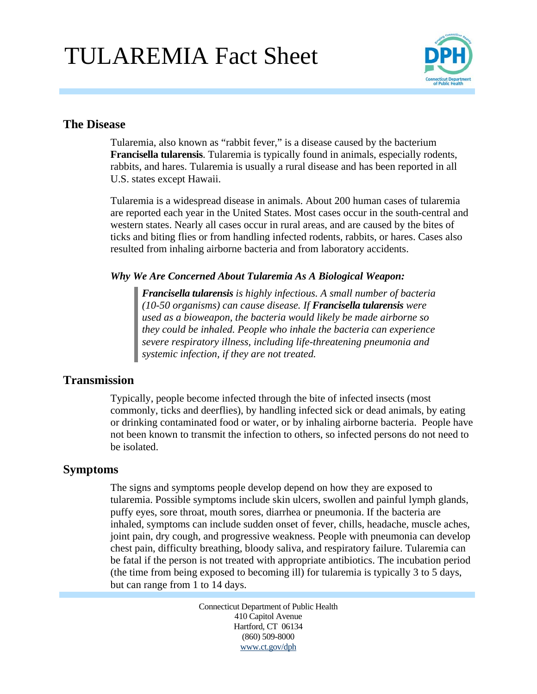# TULAREMIA Fact Sheet



### **The Disease**

Tularemia, also known as "rabbit fever," is a disease caused by the bacterium **Francisella tularensis**. Tularemia is typically found in animals, especially rodents, rabbits, and hares. Tularemia is usually a rural disease and has been reported in all U.S. states except Hawaii.

Tularemia is a widespread disease in animals. About 200 human cases of tularemia are reported each year in the United States. Most cases occur in the south-central and western states. Nearly all cases occur in rural areas, and are caused by the bites of ticks and biting flies or from handling infected rodents, rabbits, or hares. Cases also resulted from inhaling airborne bacteria and from laboratory accidents.

#### *Why We Are Concerned About Tularemia As A Biological Weapon:*

*Francisella tularensis is highly infectious. A small number of bacteria (10-50 organisms) can cause disease. If Francisella tularensis were used as a bioweapon, the bacteria would likely be made airborne so they could be inhaled. People who inhale the bacteria can experience severe respiratory illness, including life-threatening pneumonia and systemic infection, if they are not treated.* 

# **Transmission**

Typically, people become infected through the bite of infected insects (most commonly, ticks and deerflies), by handling infected sick or dead animals, by eating or drinking contaminated food or water, or by inhaling airborne bacteria. People have not been known to transmit the infection to others, so infected persons do not need to be isolated.

# **Symptoms**

The signs and symptoms people develop depend on how they are exposed to tularemia. Possible symptoms include skin ulcers, swollen and painful lymph glands, puffy eyes, sore throat, mouth sores, diarrhea or pneumonia. If the bacteria are inhaled, symptoms can include sudden onset of fever, chills, headache, muscle aches, joint pain, dry cough, and progressive weakness. People with pneumonia can develop chest pain, difficulty breathing, bloody saliva, and respiratory failure. Tularemia can be fatal if the person is not treated with appropriate antibiotics. The incubation period (the time from being exposed to becoming ill) for tularemia is typically 3 to 5 days, but can range from 1 to 14 days.

> Connecticut Department of Public Health 410 Capitol Avenue Hartford, CT 06134 (860) 509-8000 www.ct.gov/dph